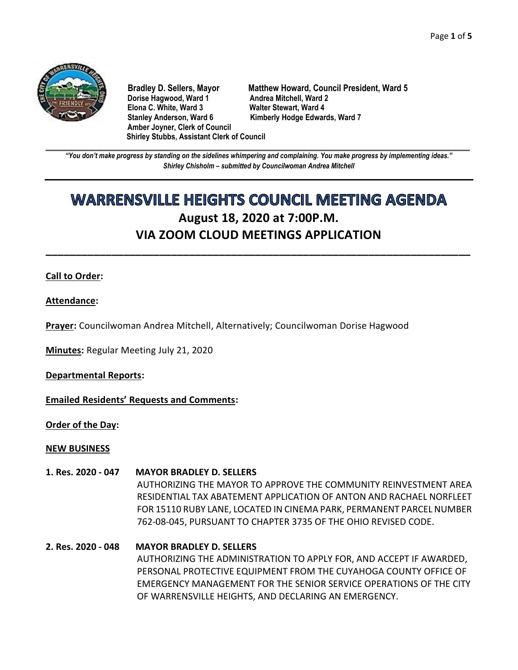

**Dorise Hagwood, Ward 1 Elona C. White, Ward 3 Walter Stewart, Ward 4** Stanley Anderson, Ward 6 Kimberly Hodge Edwards, Ward 7 **Amber Joyner, Clerk of Council Shirley Stubbs, Assistant Clerk of Council**

**Bradley D. Sellers, Mayor Matthew Howard, Council President, Ward 5**

**\_\_\_\_\_\_\_\_\_\_\_\_\_\_\_\_\_\_\_\_\_\_\_\_\_\_\_\_\_\_\_\_\_\_\_\_\_\_\_\_\_\_\_\_\_\_\_\_\_\_\_\_\_\_\_\_\_\_\_\_\_\_\_\_\_\_\_\_\_\_\_\_\_\_\_\_\_\_\_\_\_\_\_\_\_\_\_\_\_\_\_\_\_\_\_\_\_\_\_\_\_\_\_\_\_\_\_\_\_\_** *"You don't make progress by standing on the sidelines whimpering and complaining. You make progress by implementing ideas." Shirley Chisholm – submitted by Councilwoman Andrea Mitchell*

# **WARRENSVILLE HEIGHTS COUNCIL MEETING AGENDA August 18, 2020 at 7:00P.M. VIA ZOOM CLOUD MEETINGS APPLICATION**

**\_\_\_\_\_\_\_\_\_\_\_\_\_\_\_\_\_\_\_\_\_\_\_\_\_\_\_\_\_\_\_\_\_\_\_\_\_\_\_\_\_\_\_\_\_\_\_\_\_\_\_\_\_\_\_\_\_\_\_\_\_\_\_\_\_\_\_\_\_\_\_**

#### **Call to Order:**

#### **Attendance:**

**Prayer:** Councilwoman Andrea Mitchell, Alternatively; Councilwoman Dorise Hagwood

**Minutes:** Regular Meeting July 21, 2020

**Departmental Reports:**

**Emailed Residents' Requests and Comments:**

**Order of the Day:**

#### **NEW BUSINESS**

- **1. Res. 2020 - 047 MAYOR BRADLEY D. SELLERS** AUTHORIZING THE MAYOR TO APPROVE THE COMMUNITY REINVESTMENT AREA RESIDENTIAL TAX ABATEMENT APPLICATION OF ANTON AND RACHAEL NORFLEET FOR 15110 RUBY LANE, LOCATED IN CINEMA PARK, PERMANENT PARCEL NUMBER 762-08-045, PURSUANT TO CHAPTER 3735 OF THE OHIO REVISED CODE.
- **2. Res. 2020 - 048 MAYOR BRADLEY D. SELLERS** AUTHORIZING THE ADMINISTRATION TO APPLY FOR, AND ACCEPT IF AWARDED, PERSONAL PROTECTIVE EQUIPMENT FROM THE CUYAHOGA COUNTY OFFICE OF EMERGENCY MANAGEMENT FOR THE SENIOR SERVICE OPERATIONS OF THE CITY OF WARRENSVILLE HEIGHTS, AND DECLARING AN EMERGENCY.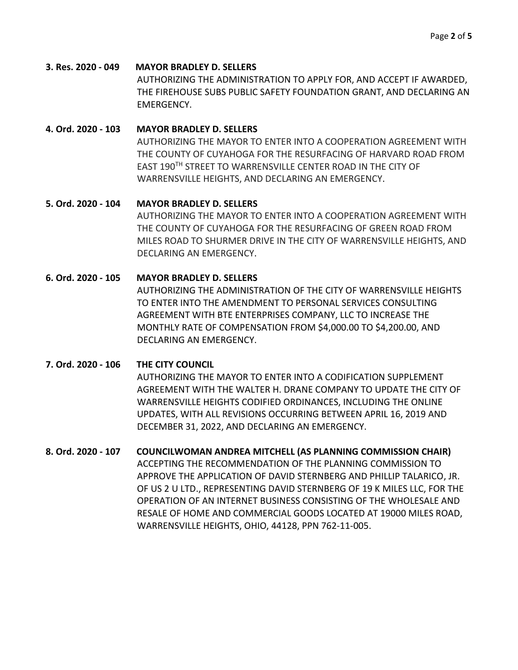**3. Res. 2020 - 049 MAYOR BRADLEY D. SELLERS** AUTHORIZING THE ADMINISTRATION TO APPLY FOR, AND ACCEPT IF AWARDED, THE FIREHOUSE SUBS PUBLIC SAFETY FOUNDATION GRANT, AND DECLARING AN EMERGENCY.

## **4. Ord. 2020 - 103 MAYOR BRADLEY D. SELLERS** AUTHORIZING THE MAYOR TO ENTER INTO A COOPERATION AGREEMENT WITH THE COUNTY OF CUYAHOGA FOR THE RESURFACING OF HARVARD ROAD FROM EAST 190TH STREET TO WARRENSVILLE CENTER ROAD IN THE CITY OF WARRENSVILLE HEIGHTS, AND DECLARING AN EMERGENCY.

## **5. Ord. 2020 - 104 MAYOR BRADLEY D. SELLERS** AUTHORIZING THE MAYOR TO ENTER INTO A COOPERATION AGREEMENT WITH THE COUNTY OF CUYAHOGA FOR THE RESURFACING OF GREEN ROAD FROM MILES ROAD TO SHURMER DRIVE IN THE CITY OF WARRENSVILLE HEIGHTS, AND DECLARING AN EMERGENCY.

## **6. Ord. 2020 - 105 MAYOR BRADLEY D. SELLERS**

AUTHORIZING THE ADMINISTRATION OF THE CITY OF WARRENSVILLE HEIGHTS TO ENTER INTO THE AMENDMENT TO PERSONAL SERVICES CONSULTING AGREEMENT WITH BTE ENTERPRISES COMPANY, LLC TO INCREASE THE MONTHLY RATE OF COMPENSATION FROM \$4,000.00 TO \$4,200.00, AND DECLARING AN EMERGENCY.

## **7. Ord. 2020 - 106 THE CITY COUNCIL**

AUTHORIZING THE MAYOR TO ENTER INTO A CODIFICATION SUPPLEMENT AGREEMENT WITH THE WALTER H. DRANE COMPANY TO UPDATE THE CITY OF WARRENSVILLE HEIGHTS CODIFIED ORDINANCES, INCLUDING THE ONLINE UPDATES, WITH ALL REVISIONS OCCURRING BETWEEN APRIL 16, 2019 AND DECEMBER 31, 2022, AND DECLARING AN EMERGENCY.

## **8. Ord. 2020 - 107 COUNCILWOMAN ANDREA MITCHELL (AS PLANNING COMMISSION CHAIR)** ACCEPTING THE RECOMMENDATION OF THE PLANNING COMMISSION TO APPROVE THE APPLICATION OF DAVID STERNBERG AND PHILLIP TALARICO, JR. OF US 2 U LTD., REPRESENTING DAVID STERNBERG OF 19 K MILES LLC, FOR THE OPERATION OF AN INTERNET BUSINESS CONSISTING OF THE WHOLESALE AND RESALE OF HOME AND COMMERCIAL GOODS LOCATED AT 19000 MILES ROAD, WARRENSVILLE HEIGHTS, OHIO, 44128, PPN 762-11-005.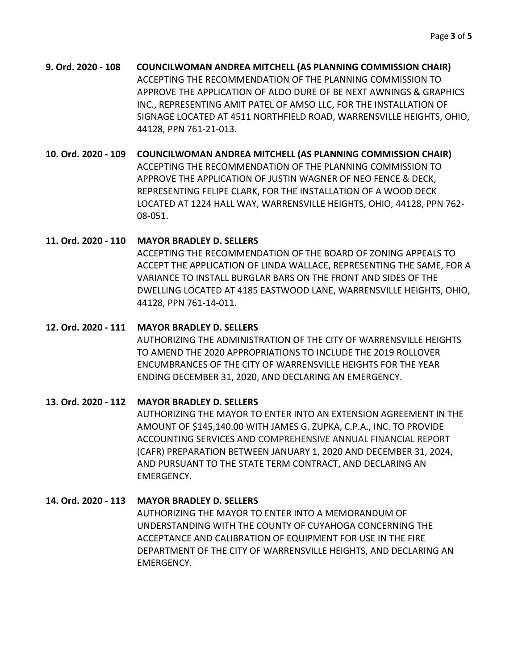**9. Ord. 2020 - 108 COUNCILWOMAN ANDREA MITCHELL (AS PLANNING COMMISSION CHAIR)** ACCEPTING THE RECOMMENDATION OF THE PLANNING COMMISSION TO APPROVE THE APPLICATION OF ALDO DURE OF BE NEXT AWNINGS & GRAPHICS INC., REPRESENTING AMIT PATEL OF AMSO LLC, FOR THE INSTALLATION OF SIGNAGE LOCATED AT 4511 NORTHFIELD ROAD, WARRENSVILLE HEIGHTS, OHIO, 44128, PPN 761-21-013.

## **10. Ord. 2020 - 109 COUNCILWOMAN ANDREA MITCHELL (AS PLANNING COMMISSION CHAIR)**

ACCEPTING THE RECOMMENDATION OF THE PLANNING COMMISSION TO APPROVE THE APPLICATION OF JUSTIN WAGNER OF NEO FENCE & DECK, REPRESENTING FELIPE CLARK, FOR THE INSTALLATION OF A WOOD DECK LOCATED AT 1224 HALL WAY, WARRENSVILLE HEIGHTS, OHIO, 44128, PPN 762- 08-051.

#### **11. Ord. 2020 - 110 MAYOR BRADLEY D. SELLERS**

ACCEPTING THE RECOMMENDATION OF THE BOARD OF ZONING APPEALS TO ACCEPT THE APPLICATION OF LINDA WALLACE, REPRESENTING THE SAME, FOR A VARIANCE TO INSTALL BURGLAR BARS ON THE FRONT AND SIDES OF THE DWELLING LOCATED AT 4185 EASTWOOD LANE, WARRENSVILLE HEIGHTS, OHIO, 44128, PPN 761-14-011.

## **12. Ord. 2020 - 111 MAYOR BRADLEY D. SELLERS**

AUTHORIZING THE ADMINISTRATION OF THE CITY OF WARRENSVILLE HEIGHTS TO AMEND THE 2020 APPROPRIATIONS TO INCLUDE THE 2019 ROLLOVER ENCUMBRANCES OF THE CITY OF WARRENSVILLE HEIGHTS FOR THE YEAR ENDING DECEMBER 31, 2020, AND DECLARING AN EMERGENCY.

## **13. Ord. 2020 - 112 MAYOR BRADLEY D. SELLERS**

AUTHORIZING THE MAYOR TO ENTER INTO AN EXTENSION AGREEMENT IN THE AMOUNT OF \$145,140.00 WITH JAMES G. ZUPKA, C.P.A., INC. TO PROVIDE ACCOUNTING SERVICES AND COMPREHENSIVE ANNUAL FINANCIAL REPORT (CAFR) PREPARATION BETWEEN JANUARY 1, 2020 AND DECEMBER 31, 2024, AND PURSUANT TO THE STATE TERM CONTRACT, AND DECLARING AN EMERGENCY.

## **14. Ord. 2020 - 113 MAYOR BRADLEY D. SELLERS**

AUTHORIZING THE MAYOR TO ENTER INTO A MEMORANDUM OF UNDERSTANDING WITH THE COUNTY OF CUYAHOGA CONCERNING THE ACCEPTANCE AND CALIBRATION OF EQUIPMENT FOR USE IN THE FIRE DEPARTMENT OF THE CITY OF WARRENSVILLE HEIGHTS, AND DECLARING AN EMERGENCY.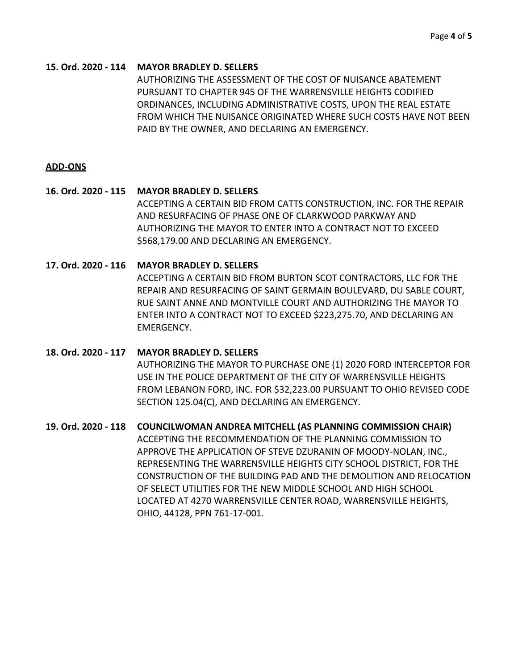#### **15. Ord. 2020 - 114 MAYOR BRADLEY D. SELLERS**

AUTHORIZING THE ASSESSMENT OF THE COST OF NUISANCE ABATEMENT PURSUANT TO CHAPTER 945 OF THE WARRENSVILLE HEIGHTS CODIFIED ORDINANCES, INCLUDING ADMINISTRATIVE COSTS, UPON THE REAL ESTATE FROM WHICH THE NUISANCE ORIGINATED WHERE SUCH COSTS HAVE NOT BEEN PAID BY THE OWNER, AND DECLARING AN EMERGENCY.

#### **ADD-ONS**

## **16. Ord. 2020 - 115 MAYOR BRADLEY D. SELLERS** ACCEPTING A CERTAIN BID FROM CATTS CONSTRUCTION, INC. FOR THE REPAIR AND RESURFACING OF PHASE ONE OF CLARKWOOD PARKWAY AND AUTHORIZING THE MAYOR TO ENTER INTO A CONTRACT NOT TO EXCEED \$568,179.00 AND DECLARING AN EMERGENCY.

#### **17. Ord. 2020 - 116 MAYOR BRADLEY D. SELLERS**

ACCEPTING A CERTAIN BID FROM BURTON SCOT CONTRACTORS, LLC FOR THE REPAIR AND RESURFACING OF SAINT GERMAIN BOULEVARD, DU SABLE COURT, RUE SAINT ANNE AND MONTVILLE COURT AND AUTHORIZING THE MAYOR TO ENTER INTO A CONTRACT NOT TO EXCEED \$223,275.70, AND DECLARING AN EMERGENCY.

## **18. Ord. 2020 - 117 MAYOR BRADLEY D. SELLERS** AUTHORIZING THE MAYOR TO PURCHASE ONE (1) 2020 FORD INTERCEPTOR FOR USE IN THE POLICE DEPARTMENT OF THE CITY OF WARRENSVILLE HEIGHTS FROM LEBANON FORD, INC. FOR \$32,223.00 PURSUANT TO OHIO REVISED CODE SECTION 125.04(C), AND DECLARING AN EMERGENCY.

#### **19. Ord. 2020 - 118 COUNCILWOMAN ANDREA MITCHELL (AS PLANNING COMMISSION CHAIR)**

ACCEPTING THE RECOMMENDATION OF THE PLANNING COMMISSION TO APPROVE THE APPLICATION OF STEVE DZURANIN OF MOODY-NOLAN, INC., REPRESENTING THE WARRENSVILLE HEIGHTS CITY SCHOOL DISTRICT, FOR THE CONSTRUCTION OF THE BUILDING PAD AND THE DEMOLITION AND RELOCATION OF SELECT UTILITIES FOR THE NEW MIDDLE SCHOOL AND HIGH SCHOOL LOCATED AT 4270 WARRENSVILLE CENTER ROAD, WARRENSVILLE HEIGHTS, OHIO, 44128, PPN 761-17-001.